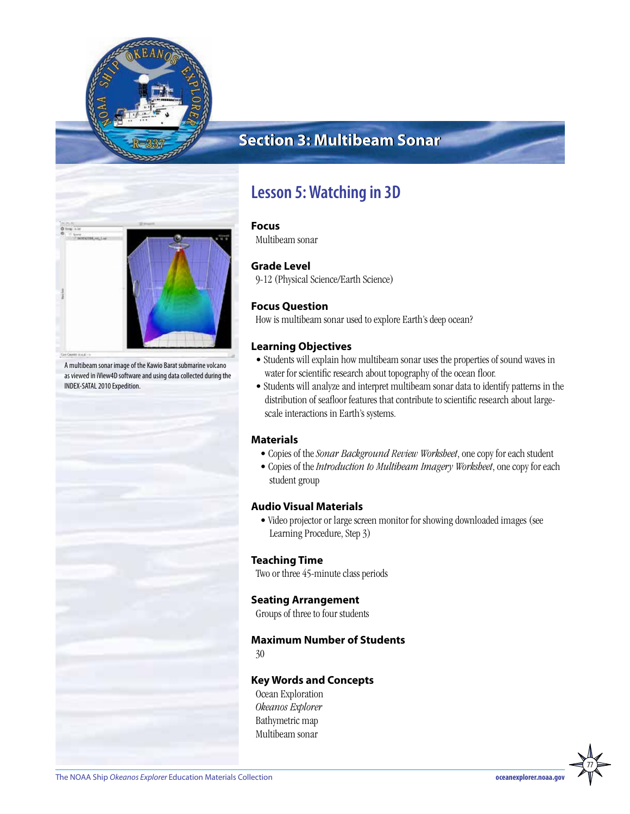

# **Section 3: Multibeam Sonar**



A multibeam sonar image of the Kawio Barat submarine volcano as viewed in iView4D software and using data collected during the INDEX-SATAL 2010 Expedition.

# **Lesson 5: Watching in 3D**

### **Focus**

Multibeam sonar

### **Grade Level**

9-12 (Physical Science/Earth Science)

### **Focus Question**

How is multibeam sonar used to explore Earth's deep ocean?

### **Learning Objectives**

- Students will explain how multibeam sonar uses the properties of sound waves in water for scientific research about topography of the ocean floor.
- Students will analyze and interpret multibeam sonar data to identify patterns in the distribution of seafloor features that contribute to scientific research about largescale interactions in Earth's systems.

### **Materials**

- Copies of the *Sonar Background Review Worksheet*, one copy for each student
- Copies of the *Introduction to Multibeam Imagery Worksheet*, one copy for each student group

### **Audio Visual Materials**

• Video projector or large screen monitor for showing downloaded images (see Learning Procedure, Step 3)

### **Teaching Time**

Two or three 45-minute class periods

### **Seating Arrangement**

Groups of three to four students

### **Maximum Number of Students**

30

### **Key Words and Concepts**

Ocean Exploration *Okeanos Explorer* Bathymetric map Multibeam sonar

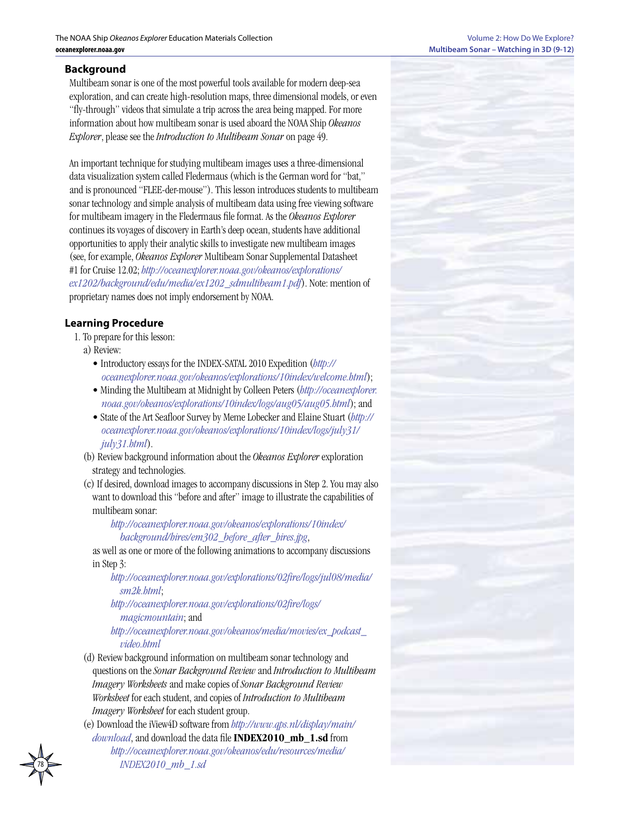### **Background**

Multibeam sonar is one of the most powerful tools available for modern deep-sea exploration, and can create high-resolution maps, three dimensional models, or even "fly-through" videos that simulate a trip across the area being mapped. For more information about how multibeam sonar is used aboard the NOAA Ship *Okeanos Explorer*, please see the *Introduction to Multibeam Sonar* on page 49.

An important technique for studying multibeam images uses a three-dimensional data visualization system called Fledermaus (which is the German word for "bat," and is pronounced "FLEE-der-mouse"). This lesson introduces students to multibeam sonar technology and simple analysis of multibeam data using free viewing software for multibeam imagery in the Fledermaus file format. As the *Okeanos Explorer* continues its voyages of discovery in Earth's deep ocean, students have additional opportunities to apply their analytic skills to investigate new multibeam images (see, for example, *Okeanos Explorer* Multibeam Sonar Supplemental Datasheet #1 for Cruise 12.02; *[http://oceanexplorer.noaa.gov/okeanos/explorations/](http://oceanexplorer.noaa.gov/okeanos/explorations/ex1202/background/edu/media/ex1202_sdmultibeam1.pdf) [ex1202/background/edu/media/ex1202\\_sdmultibeam1.pdf](http://oceanexplorer.noaa.gov/okeanos/explorations/ex1202/background/edu/media/ex1202_sdmultibeam1.pdf)*). Note: mention of proprietary names does not imply endorsement by NOAA.

### **Learning Procedure**

- 1. To prepare for this lesson:
- a) Review:
	- Introductory essays for the INDEX-SATAL 2010 Expedition (*[http://](http://oceanexplorer.noaa.gov/okeanos/explorations/10index/welcome.html) [oceanexplorer.noaa.gov/okeanos/explorations/10index/welcome.html](http://oceanexplorer.noaa.gov/okeanos/explorations/10index/welcome.html)*);
	- Minding the Multibeam at Midnight by Colleen Peters (*[http://oceanexplorer.](http://oceanexplorer.noaa.gov/okeanos/explorations/10index/logs/aug05/aug05.html) [noaa.gov/okeanos/explorations/10index/logs/aug05/aug05.html](http://oceanexplorer.noaa.gov/okeanos/explorations/10index/logs/aug05/aug05.html)*); and
	- State of the Art Seafloor Survey by Meme Lobecker and Elaine Stuart (*[http://](http://oceanexplorer.noaa.gov/okeanos/explorations/10index/logs/july31/july31.html) [oceanexplorer.noaa.gov/okeanos/explorations/10index/logs/july31/](http://oceanexplorer.noaa.gov/okeanos/explorations/10index/logs/july31/july31.html) [july31.html](http://oceanexplorer.noaa.gov/okeanos/explorations/10index/logs/july31/july31.html)*).
- (b) Review background information about the *Okeanos Explorer* exploration strategy and technologies.
- (c) If desired, download images to accompany discussions in Step 2. You may also want to download this "before and after" image to illustrate the capabilities of multibeam sonar:

### *[http://oceanexplorer.noaa.gov/okeanos/explorations/10index/](http://oceanexplorer.noaa.gov/okeanos/explorations/10index/background/hires/em302_before_after_hires.jpg) [background/hires/em302\\_before\\_after\\_hires.jpg](http://oceanexplorer.noaa.gov/okeanos/explorations/10index/background/hires/em302_before_after_hires.jpg)*,

as well as one or more of the following animations to accompany discussions in Step 3:

*[http://oceanexplorer.noaa.gov/explorations/02fire/logs/jul08/media/](http://oceanexplorer.noaa.gov/explorations/02fire/logs/jul08/media/sm2k.html) [sm2k.html](http://oceanexplorer.noaa.gov/explorations/02fire/logs/jul08/media/sm2k.html)*;

*[http://oceanexplorer.noaa.gov/explorations/02fire/logs/](http://oceanexplorer.noaa.gov/explorations/02fire/logs/magicmountain) [magicmountain](http://oceanexplorer.noaa.gov/explorations/02fire/logs/magicmountain)*; and

*[http://oceanexplorer.noaa.gov/okeanos/media/movies/ex\\_podcast\\_](http://oceanexplorer.noaa.gov/okeanos/media/movies/ex_podcast_video.html) [video.html](http://oceanexplorer.noaa.gov/okeanos/media/movies/ex_podcast_video.html)*

- (d) Review background information on multibeam sonar technology and questions on the *Sonar Background Review* and *Introduction to Multibeam Imagery Worksheets* and make copies of *Sonar Background Review Worksheet* for each student, and copies of *Introduction to Multibeam Imagery Worksheet* for each student group.
- (e) Download the iView4D software from *[http://www.qps.nl/display/main/](http://www.qps.nl/display/main/download) [download](http://www.qps.nl/display/main/download)*, and download the data file **INDEX2010\_mb\_1.sd** from

*[http://oceanexplorer.noaa.gov/okeanos/edu/resources/media/](http://oceanexplorer.noaa.gov/okeanos/edu/resources/media/INDEX2010_mb_1.sd) [INDEX2010\\_mb\\_1.sd](http://oceanexplorer.noaa.gov/okeanos/edu/resources/media/INDEX2010_mb_1.sd)*

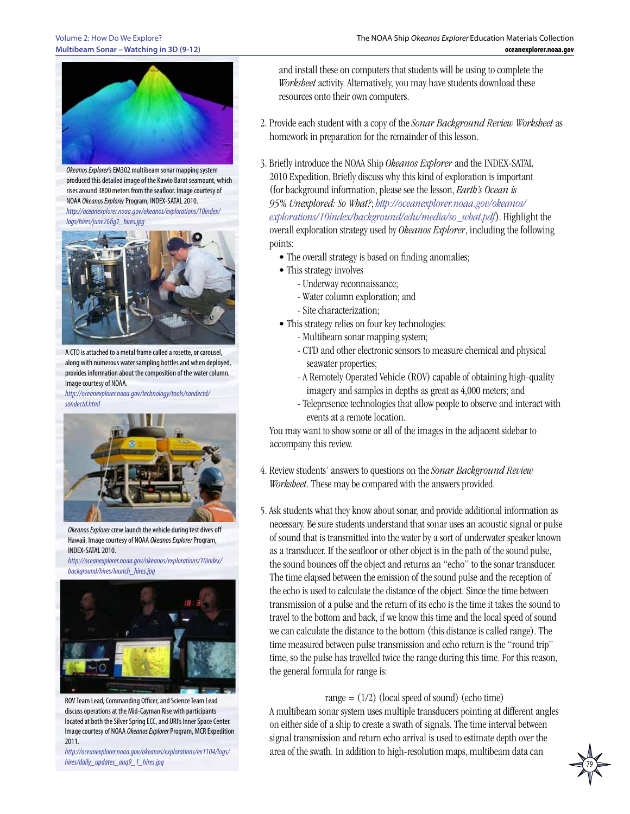#### Volume 2: How Do We Explore? **Multibeam Sonar – Watching in 3D (9-12)**



*Okeanos Explorer*'s EM302 multibeam sonar mapping system produced this detailed image of the Kawio Barat seamount, which rises around 3800 meters from the seafloor. Image courtesy of NOAA *Okeanos Explorer* Program, INDEX-SATAL 2010. *[http://oceanexplorer.noaa.gov/okeanos/explorations/10index/](http://oceanexplorer.noaa.gov/okeanos/explorations/10index/logs/hires/june26fig1_hires.jpg)*

*[logs/hires/june26fig1\\_hires.jpg](http://oceanexplorer.noaa.gov/okeanos/explorations/10index/logs/hires/june26fig1_hires.jpg)*



A CTD is attached to a metal frame called a rosette, or carousel, along with numerous water sampling bottles and when deployed, provides information about the composition of the water column. Image courtesy of NOAA.

*[http://oceanexplorer.noaa.gov/technology/tools/sondectd/](http://oceanexplorer.noaa.gov/technology/tools/sondectd/sondectd.html) [sondectd.html](http://oceanexplorer.noaa.gov/technology/tools/sondectd/sondectd.html)*



*Okeanos Explorer* crew launch the vehicle during test dives off Hawaii. Image courtesy of NOAA *Okeanos Explorer* Program, INDEX-SATAL 2010.

*[http://oceanexplorer.noaa.gov/okeanos/explorations/10index/](http://oceanexplorer.noaa.gov/okeanos/explorations/10index/background/hires/launch_hires.jpg) [background/hires/launch\\_hires.jpg](http://oceanexplorer.noaa.gov/okeanos/explorations/10index/background/hires/launch_hires.jpg)*



ROV Team Lead, Commanding Officer, and Science Team Lead discuss operations at the Mid-Cayman Rise with participants located at both the Silver Spring ECC, and URI's Inner Space Center. Image courtesy of NOAA *Okeanos Explorer* Program, MCR Expedition 2011.

*[http://oceanexplorer.noaa.gov/okeanos/explorations/ex1104/logs/](http://oceanexplorer.noaa.gov/okeanos/explorations/ex1104/logs/hires/daily_updates_aug9_1_hires.jpg) [hires/daily\\_updates\\_aug9\\_1\\_hires.jpg](http://oceanexplorer.noaa.gov/okeanos/explorations/ex1104/logs/hires/daily_updates_aug9_1_hires.jpg)*

and install these on computers that students will be using to complete the *Worksheet* activity. Alternatively, you may have students download these resources onto their own computers.

- 2. Provide each student with a copy of the *Sonar Background Review Worksheet* as homework in preparation for the remainder of this lesson.
- 3. Briefly introduce the NOAA Ship *Okeanos Explorer* and the INDEX-SATAL 2010 Expedition. Briefly discuss why this kind of exploration is important (for background information, please see the lesson, *Earth's Ocean is 95% Unexplored: So What?*; *[http://oceanexplorer.noaa.gov/okeanos/](http://oceanexplorer.noaa.gov/okeanos/explorations/10index/background/edu/media/so_what.pdf) [explorations/10index/background/edu/media/so\\_what.pdf](http://oceanexplorer.noaa.gov/okeanos/explorations/10index/background/edu/media/so_what.pdf)*). Highlight the overall exploration strategy used by *Okeanos Explorer*, including the following points:
	- The overall strategy is based on finding anomalies;
	- This strategy involves
		- Underway reconnaissance;
		- Water column exploration; and
		- Site characterization;
	- This strategy relies on four key technologies:
		- Multibeam sonar mapping system;
		- CTD and other electronic sensors to measure chemical and physical seawater properties;
		- A Remotely Operated Vehicle (ROV) capable of obtaining high-quality imagery and samples in depths as great as 4,000 meters; and
		- Telepresence technologies that allow people to observe and interact with events at a remote location.

You may want to show some or all of the images in the adjacent sidebar to accompany this review.

- 4. Review students' answers to questions on the *Sonar Background Review Worksheet*. These may be compared with the answers provided.
- 5. Ask students what they know about sonar, and provide additional information as necessary. Be sure students understand that sonar uses an acoustic signal or pulse of sound that is transmitted into the water by a sort of underwater speaker known as a transducer. If the seafloor or other object is in the path of the sound pulse, the sound bounces off the object and returns an "echo" to the sonar transducer. The time elapsed between the emission of the sound pulse and the reception of the echo is used to calculate the distance of the object. Since the time between transmission of a pulse and the return of its echo is the time it takes the sound to travel to the bottom and back, if we know this time and the local speed of sound we can calculate the distance to the bottom (this distance is called range). The time measured between pulse transmission and echo return is the "round trip" time, so the pulse has travelled twice the range during this time. For this reason, the general formula for range is:

### range  $= (1/2)$  (local speed of sound) (echo time)

A multibeam sonar system uses multiple transducers pointing at different angles on either side of a ship to create a swath of signals. The time interval between signal transmission and return echo arrival is used to estimate depth over the area of the swath. In addition to high-resolution maps, multibeam data can

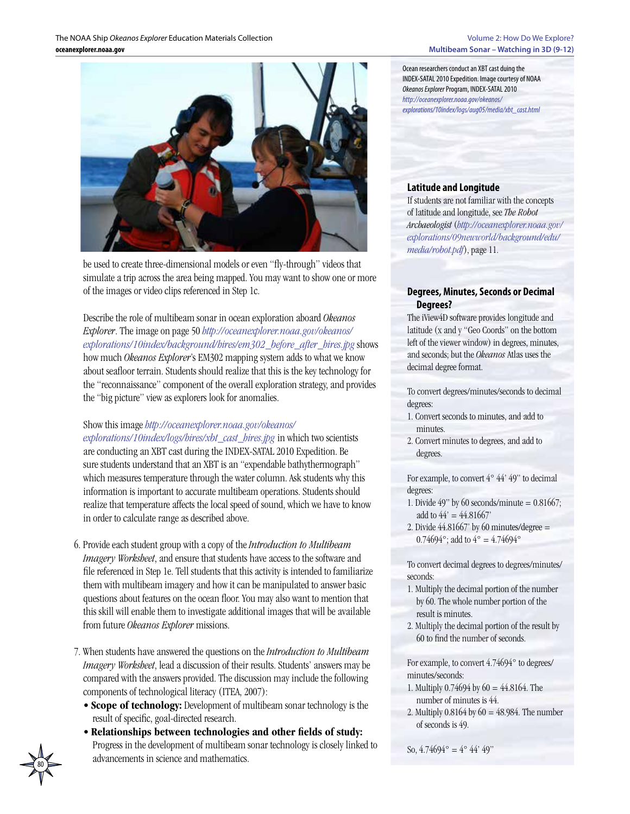

be used to create three-dimensional models or even "fly-through" videos that simulate a trip across the area being mapped. You may want to show one or more of the images or video clips referenced in Step 1c.

### Describe the role of multibeam sonar in ocean exploration aboard *Okeanos Explorer*. The image on page 50 *[http://oceanexplorer.noaa.gov/okeanos/](http://oceanexplorer.noaa.gov/okeanos/explorations/10index/background/hires/em302_before_after_hires.jpg) [explorations/10index/background/hires/em302\\_before\\_after\\_hires.jpg](http://oceanexplorer.noaa.gov/okeanos/explorations/10index/background/hires/em302_before_after_hires.jpg)* shows how much *Okeanos Explorer*'s EM302 mapping system adds to what we know about seafloor terrain. Students should realize that this is the key technology for the "reconnaissance" component of the overall exploration strategy, and provides the "big picture" view as explorers look for anomalies.

### Show this image *[http://oceanexplorer.noaa.gov/okeanos/](http://oceanexplorer.noaa.gov/okeanos/explorations/10index/logs/hires/xbt_cast_hires.jpg)*

*[explorations/10index/logs/hires/xbt\\_cast\\_hires.jpg](http://oceanexplorer.noaa.gov/okeanos/explorations/10index/logs/hires/xbt_cast_hires.jpg)* in which two scientists are conducting an XBT cast during the INDEX-SATAL 2010 Expedition. Be sure students understand that an XBT is an "expendable bathythermograph" which measures temperature through the water column. Ask students why this information is important to accurate multibeam operations. Students should realize that temperature affects the local speed of sound, which we have to know in order to calculate range as described above.

- 6. Provide each student group with a copy of the *Introduction to Multibeam Imagery Worksheet*, and ensure that students have access to the software and file referenced in Step 1e. Tell students that this activity is intended to familiarize them with multibeam imagery and how it can be manipulated to answer basic questions about features on the ocean floor. You may also want to mention that this skill will enable them to investigate additional images that will be available from future *Okeanos Explorer* missions.
- 7. When students have answered the questions on the *Introduction to Multibeam Imagery Worksheet*, lead a discussion of their results. Students' answers may be compared with the answers provided. The discussion may include the following components of technological literacy (ITEA, 2007):
	- **Scope of technology:** Development of multibeam sonar technology is the result of specific, goal-directed research.
	- **Relationships between technologies and other fields of study:** Progress in the development of multibeam sonar technology is closely linked to advancements in science and mathematics.

Ocean researchers conduct an XBT cast duing the INDEX-SATAL 2010 Expedition. Image courtesy of NOAA *Okeanos Explorer* Program, INDEX-SATAL 2010 *[http://oceanexplorer.noaa.gov/okeanos/](http://oceanexplorer.noaa.gov/okeanos/explorations/10index/logs/aug05/media/xbt_cast.html) [explorations/10index/logs/aug05/media/xbt\\_cast.html](http://oceanexplorer.noaa.gov/okeanos/explorations/10index/logs/aug05/media/xbt_cast.html)*

### **Latitude and Longitude**

If students are not familiar with the concepts of latitude and longitude, see *The Robot Archaeologist* (*[http://oceanexplorer.noaa.gov/](http://oceanexplorer.noaa.gov/explorations/09newworld/background/edu/media/robot.pdf) [explorations/09newworld/background/edu/](http://oceanexplorer.noaa.gov/explorations/09newworld/background/edu/media/robot.pdf) [media/robot.pdf](http://oceanexplorer.noaa.gov/explorations/09newworld/background/edu/media/robot.pdf)*), page 11.

### **Degrees, Minutes, Seconds or Decimal Degrees?**

The iView4D software provides longitude and latitude (x and y "Geo Coords" on the bottom left of the viewer window) in degrees, minutes, and seconds; but the *Okeanos* Atlas uses the decimal degree format.

To convert degrees/minutes/seconds to decimal degrees:

- 1. Convert seconds to minutes, and add to minutes.
- 2. Convert minutes to degrees, and add to degrees.

For example, to convert  $4^{\circ}$   $44'$   $49''$  to decimal degrees:

- 1. Divide  $49"$  by 60 seconds/minute = 0.81667; add to  $44' = 44.81667'$
- 2. Divide  $44.81667$ ' by 60 minutes/degree = 0.74694°; add to  $4^{\circ} = 4.74694^{\circ}$

To convert decimal degrees to degrees/minutes/ seconds:

- 1. Multiply the decimal portion of the number by 60. The whole number portion of the result is minutes.
- 2. Multiply the decimal portion of the result by 60 to find the number of seconds.

For example, to convert 4.74694° to degrees/ minutes/seconds:

- 1. Multiply 0.74694 by 60 = 44.8164. The number of minutes is 44.
- 2. Multiply  $0.8164$  by  $60 = 48.984$ . The number of seconds is 49.

```
So, 4.74694^{\circ} = 4^{\circ} 44' 49''
```
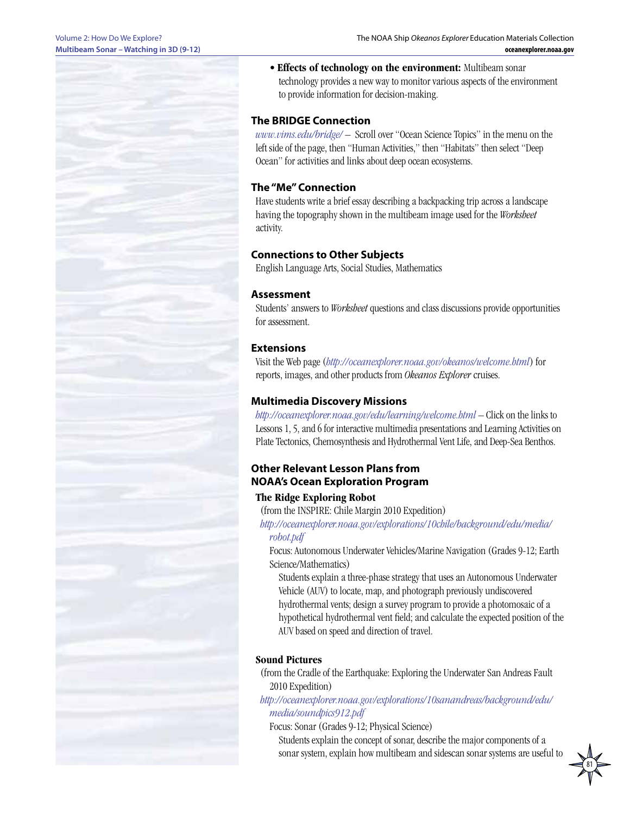#### Volume 2: How Do We Explore? **Multibeam Sonar – Watching in 3D (9-12)**

• **Effects of technology on the environment:** Multibeam sonar technology provides a new way to monitor various aspects of the environment to provide information for decision-making.

### **The BRIDGE Connection**

*<www.vims.edu/bridge/>* – Scroll over "Ocean Science Topics" in the menu on the left side of the page, then "Human Activities," then "Habitats" then select "Deep Ocean" for activities and links about deep ocean ecosystems.

### **The "Me" Connection**

Have students write a brief essay describing a backpacking trip across a landscape having the topography shown in the multibeam image used for the *Worksheet* activity.

### **Connections to Other Subjects**

English Language Arts, Social Studies, Mathematics

### **Assessment**

Students' answers to *Worksheet* questions and class discussions provide opportunities for assessment.

### **Extensions**

Visit the Web page (*<http://oceanexplorer.noaa.gov/okeanos/welcome.html>*) for reports, images, and other products from *Okeanos Explorer* cruises.

### **Multimedia Discovery Missions**

*<http://oceanexplorer.noaa.gov/edu/learning/welcome.html>* – Click on the links to Lessons 1, 5, and 6 for interactive multimedia presentations and Learning Activities on Plate Tectonics, Chemosynthesis and Hydrothermal Vent Life, and Deep-Sea Benthos.

### **Other Relevant Lesson Plans from NOAA's Ocean Exploration Program**

### **The Ridge Exploring Robot**

(from the INSPIRE: Chile Margin 2010 Expedition)

*[http://oceanexplorer.noaa.gov/explorations/10chile/background/edu/media/](http://oceanexplorer.noaa.gov/explorations/10chile/background/edu/media/robot.pdf) [robot.pdf](http://oceanexplorer.noaa.gov/explorations/10chile/background/edu/media/robot.pdf)*

Focus: Autonomous Underwater Vehicles/Marine Navigation (Grades 9-12; Earth Science/Mathematics)

Students explain a three-phase strategy that uses an Autonomous Underwater Vehicle (AUV) to locate, map, and photograph previously undiscovered hydrothermal vents; design a survey program to provide a photomosaic of a hypothetical hydrothermal vent field; and calculate the expected position of the AUV based on speed and direction of travel.

### **Sound Pictures**

(from the Cradle of the Earthquake: Exploring the Underwater San Andreas Fault 2010 Expedition)

*[http://oceanexplorer.noaa.gov/explorations/10sanandreas/background/edu/](http://oceanexplorer.noaa.gov/explorations/10sanandreas/background/edu/media/soundpics912.pdf) [media/soundpics912.pdf](http://oceanexplorer.noaa.gov/explorations/10sanandreas/background/edu/media/soundpics912.pdf)*

Focus: Sonar (Grades 9-12; Physical Science)

Students explain the concept of sonar, describe the major components of a sonar system, explain how multibeam and sidescan sonar systems are useful to

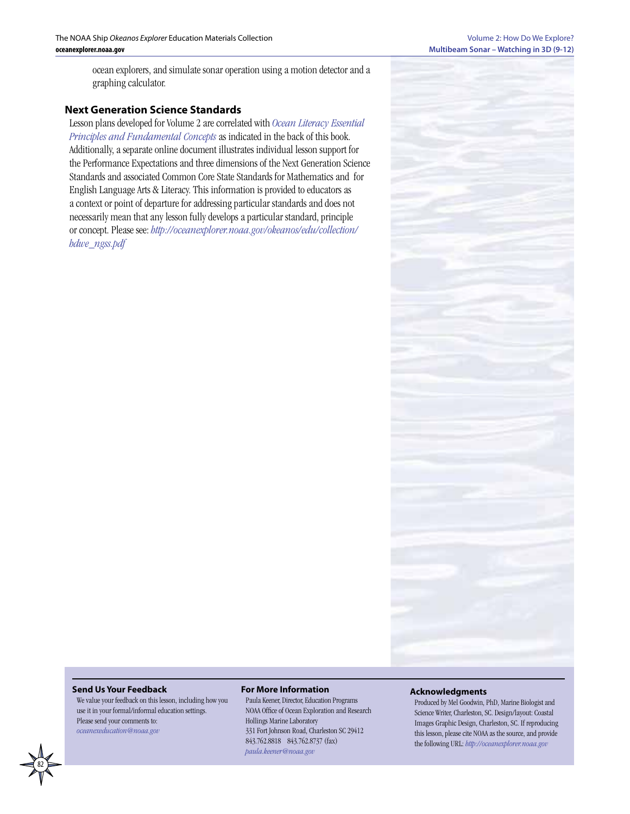ocean explorers, and simulate sonar operation using a motion detector and a graphing calculator.

### **Next Generation Science Standards**

Lesson plans developed for Volume 2 are correlated with *[Ocean Literacy Essential](http://oceanliteracy.wp2.coexploration.org/brochure/)  [Principles and Fundamental Concepts](http://oceanliteracy.wp2.coexploration.org/brochure/)* as indicated in the back of this book. Additionally, a separate online document illustrates individual lesson support for the Performance Expectations and three dimensions of the Next Generation Science Standards and associated Common Core State Standards for Mathematics and for English Language Arts & Literacy. This information is provided to educators as a context or point of departure for addressing particular standards and does not necessarily mean that any lesson fully develops a particular standard, principle or concept. Please see: *http://oceanexplorer.noaa.gov/okeanos/edu/collection/ hdwe\_ngss.pdf*



#### **Send Us Your Feedback**

We value your feedback on this lesson, including how you use it in your formal/informal education settings. Please send your comments to: *[oceanexeducation@noaa.go](mailto:oceanexeducation%40noaa.gov?subject=Feedback)v*

#### **For More Information**

Paula Keener, Director, Education Programs NOAA Office of Ocean Exploration and Research Hollings Marine Laboratory 331 Fort Johnson Road, Charleston SC 29412 843.762.8818 843.762.8737 (fax) *[paula.keener@noaa.gov](mailto:paula.keener-chavis%40noaa.gov?subject=For%20More%20Information)*

#### **Acknowledgments**

Produced by Mel Goodwin, PhD, Marine Biologist and Science Writer, Charleston, SC. Design/layout: Coastal Images Graphic Design, Charleston, SC. If reproducing this lesson, please cite NOAA as the source, and provide the following URL: *<http://oceanexplorer.noaa.gov>*

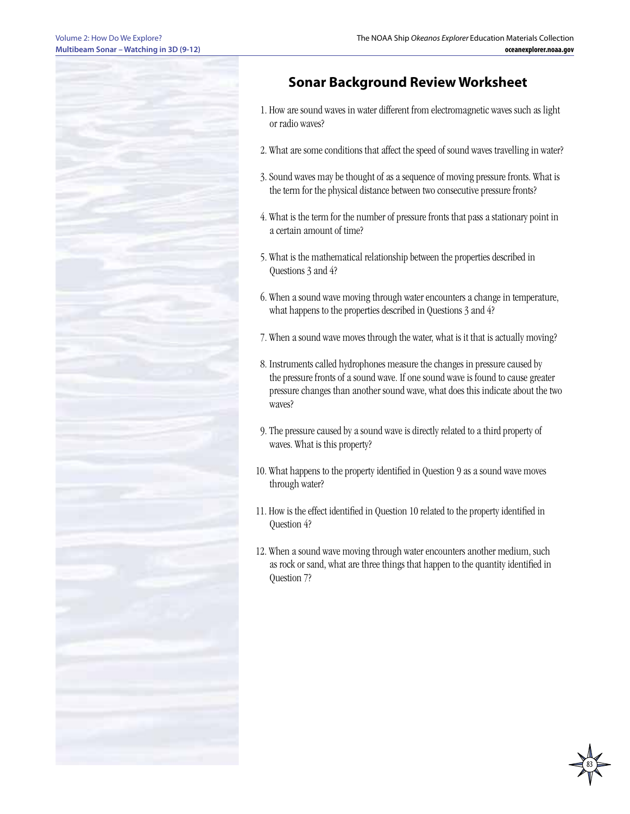

# **Sonar Background Review Worksheet**

- 1. How are sound waves in water different from electromagnetic waves such as light or radio waves?
- 2. What are some conditions that affect the speed of sound waves travelling in water?
- 3. Sound waves may be thought of as a sequence of moving pressure fronts. What is the term for the physical distance between two consecutive pressure fronts?
- 4. What is the term for the number of pressure fronts that pass a stationary point in a certain amount of time?
- 5. What is the mathematical relationship between the properties described in Questions 3 and 4?
- 6. When a sound wave moving through water encounters a change in temperature, what happens to the properties described in Questions 3 and 4?
- 7. When a sound wave moves through the water, what is it that is actually moving?
- 8. Instruments called hydrophones measure the changes in pressure caused by the pressure fronts of a sound wave. If one sound wave is found to cause greater pressure changes than another sound wave, what does this indicate about the two waves?
- 9. The pressure caused by a sound wave is directly related to a third property of waves. What is this property?
- 10. What happens to the property identified in Question 9 as a sound wave moves through water?
- 11. How is the effect identified in Question 10 related to the property identified in Question 4?
- 12. When a sound wave moving through water encounters another medium, such as rock or sand, what are three things that happen to the quantity identified in Question 7?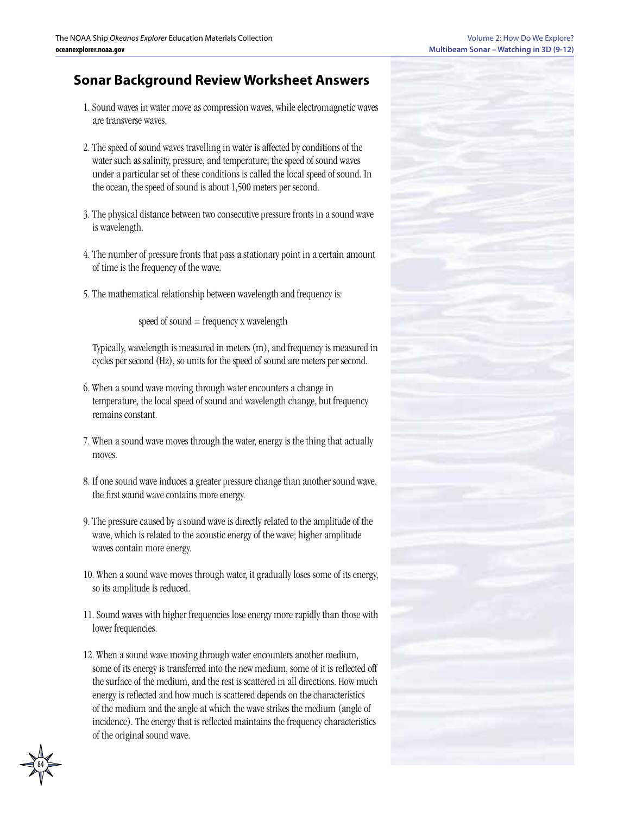# **Sonar Background Review Worksheet Answers**

- 1. Sound waves in water move as compression waves, while electromagnetic waves are transverse waves.
- 2. The speed of sound waves travelling in water is affected by conditions of the water such as salinity, pressure, and temperature; the speed of sound waves under a particular set of these conditions is called the local speed of sound. In the ocean, the speed of sound is about 1,500 meters per second.
- 3. The physical distance between two consecutive pressure fronts in a sound wave is wavelength.
- 4. The number of pressure fronts that pass a stationary point in a certain amount of time is the frequency of the wave.
- 5. The mathematical relationship between wavelength and frequency is:

speed of sound = frequency x wavelength

Typically, wavelength is measured in meters (m), and frequency is measured in cycles per second (Hz), so units for the speed of sound are meters per second.

- 6. When a sound wave moving through water encounters a change in temperature, the local speed of sound and wavelength change, but frequency remains constant.
- 7. When a sound wave moves through the water, energy is the thing that actually moves.
- 8. If one sound wave induces a greater pressure change than another sound wave, the first sound wave contains more energy.
- 9. The pressure caused by a sound wave is directly related to the amplitude of the wave, which is related to the acoustic energy of the wave; higher amplitude waves contain more energy.
- 10. When a sound wave moves through water, it gradually loses some of its energy, so its amplitude is reduced.
- 11. Sound waves with higher frequencies lose energy more rapidly than those with lower frequencies.
- 12. When a sound wave moving through water encounters another medium, some of its energy is transferred into the new medium, some of it is reflected off the surface of the medium, and the rest is scattered in all directions. How much energy is reflected and how much is scattered depends on the characteristics of the medium and the angle at which the wave strikes the medium (angle of incidence). The energy that is reflected maintains the frequency characteristics of the original sound wave.



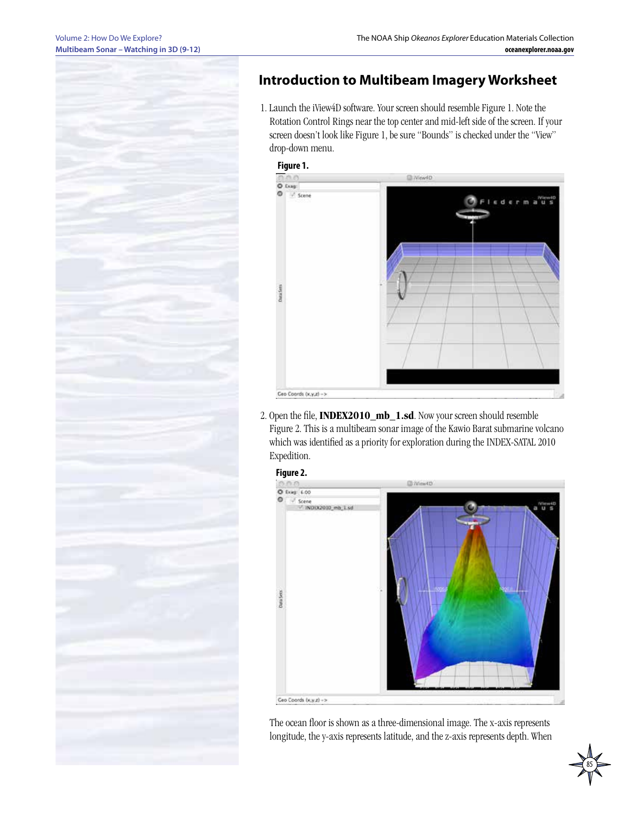

# **Introduction to Multibeam Imagery Worksheet**

1. Launch the iView4D software. Your screen should resemble Figure 1. Note the Rotation Control Rings near the top center and mid-left side of the screen. If your screen doesn't look like Figure 1, be sure "Bounds" is checked under the "View" drop-down menu.





2. Open the file, **INDEX2010\_mb\_1.sd**. Now your screen should resemble Figure 2. This is a multibeam sonar image of the Kawio Barat submarine volcano which was identified as a priority for exploration during the INDEX-SATAL 2010 Expedition.



The ocean floor is shown as a three-dimensional image. The x-axis represents longitude, the y-axis represents latitude, and the z-axis represents depth. When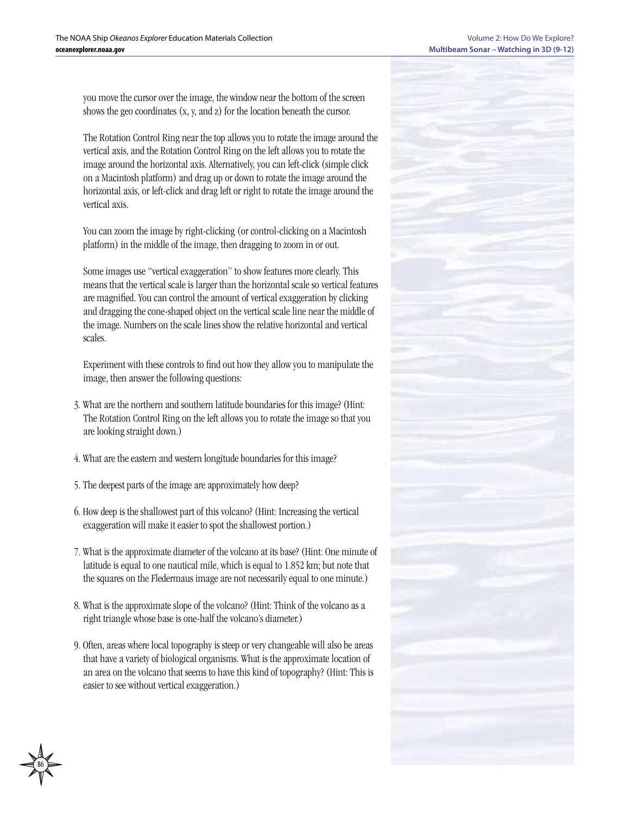you move the cursor over the image, the window near the bottom of the screen shows the geo coordinates (x, y, and z) for the location beneath the cursor.

The Rotation Control Ring near the top allows you to rotate the image around the vertical axis, and the Rotation Control Ring on the left allows you to rotate the image around the horizontal axis. Alternatively, you can left-click (simple click on a Macintosh platform) and drag up or down to rotate the image around the horizontal axis, or left-click and drag left or right to rotate the image around the vertical axis.

You can zoom the image by right-clicking (or control-clicking on a Macintosh platform) in the middle of the image, then dragging to zoom in or out.

Some images use "vertical exaggeration" to show features more clearly. This means that the vertical scale is larger than the horizontal scale so vertical features are magnified. You can control the amount of vertical exaggeration by clicking and dragging the cone-shaped object on the vertical scale line near the middle of the image. Numbers on the scale lines show the relative horizontal and vertical scales.

Experiment with these controls to find out how they allow you to manipulate the image, then answer the following questions:

- 3. What are the northern and southern latitude boundaries for this image? (Hint: The Rotation Control Ring on the left allows you to rotate the image so that you are looking straight down.)
- 4. What are the eastern and western longitude boundaries for this image?
- 5. The deepest parts of the image are approximately how deep?

- 6. How deep is the shallowest part of this volcano? (Hint: Increasing the vertical exaggeration will make it easier to spot the shallowest portion.)
- 7. What is the approximate diameter of the volcano at its base? (Hint: One minute of latitude is equal to one nautical mile, which is equal to 1.852 km; but note that the squares on the Fledermaus image are not necessarily equal to one minute.)
- 8. What is the approximate slope of the volcano? (Hint: Think of the volcano as a right triangle whose base is one-half the volcano's diameter.)
- 9. Often, areas where local topography is steep or very changeable will also be areas that have a variety of biological organisms. What is the approximate location of an area on the volcano that seems to have this kind of topography? (Hint: This is easier to see without vertical exaggeration.)